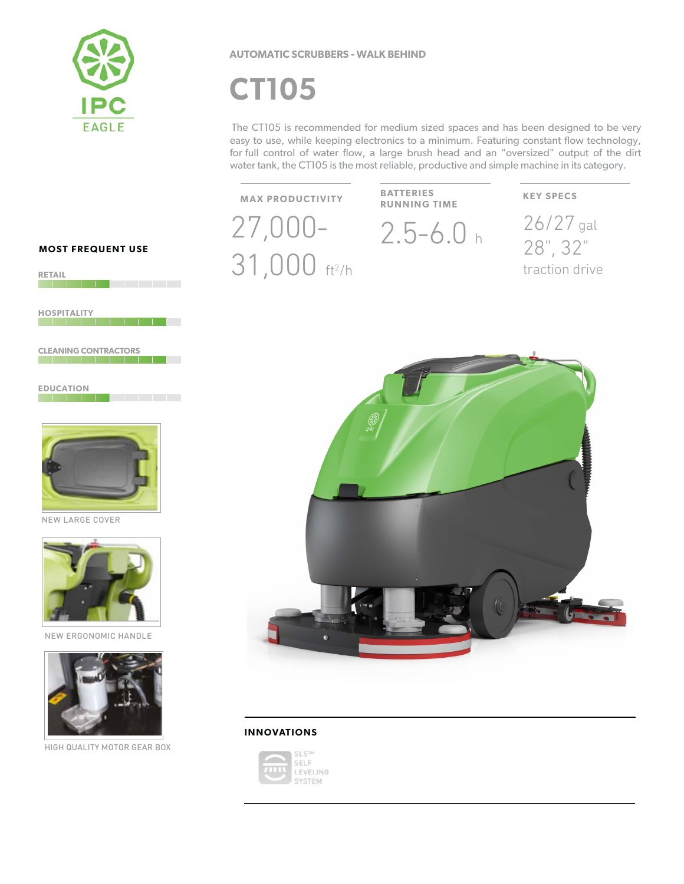

## **AUTOMATIC SCRUBBERS - WALK BEHIND**

# **CT105**

The CT105 is recommended for medium sized spaces and has been designed to be very easy to use, while keeping electronics to a minimum. Featuring constant flow technology, for full control of water flow, a large brush head and an "oversized" output of the dirt water tank, the CT105 is the most reliable, productive and simple machine in its category.

**MAX PRODUCTIVITY** 

31,000 ft<sup>2</sup>/h

**BATTERIES RUNNING TIME** 

 $27,000 - 2.5 - 6.0$  h

## **KEY SPECS**

26/27 gal 28", 32" traction drive



### **INNOVATIONS**



**MOST FREQUENT USE** 

**RETAIL The Committee of the Committee of the Committee of the Committee of the Committee of the Committee of the Commi** 

**HOSPITALITY** 

**CLEANING CONTRACTORS** 

**EDUCATION THE REPORT OF A REPORT OF A REPORT OF A REPORT** 



NEW LARGE COVER



NEW ERGONOMIC HANDLE



HIGH QUALITY MOTOR GEAR BOX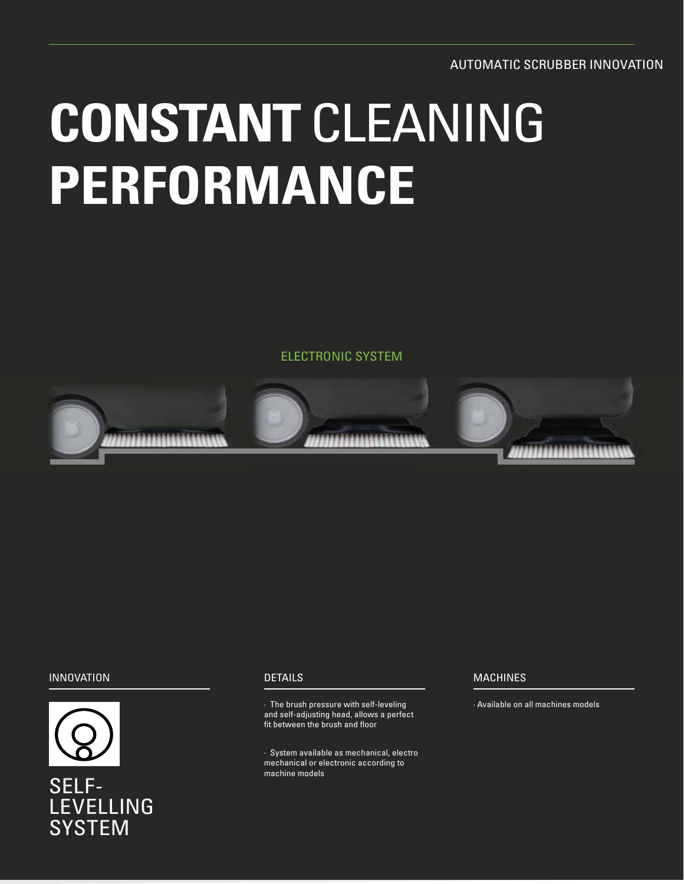AUTOMATIC SCRUBBER INNOVATION

# **CONSTANT** CLEANING **PERFORMANCE**

ELECTRONIC SYSTEM



# INNOVATION DETAILS MACHINES



# SELF-LEVELLING **SYSTEM**

· The brush pressure with self-leveling in the selfmannian and all machines models and self-adjusting head, allows a perfect fit between the brush and floor

· System available as mechanical, electro mechanical or electronic according to machine models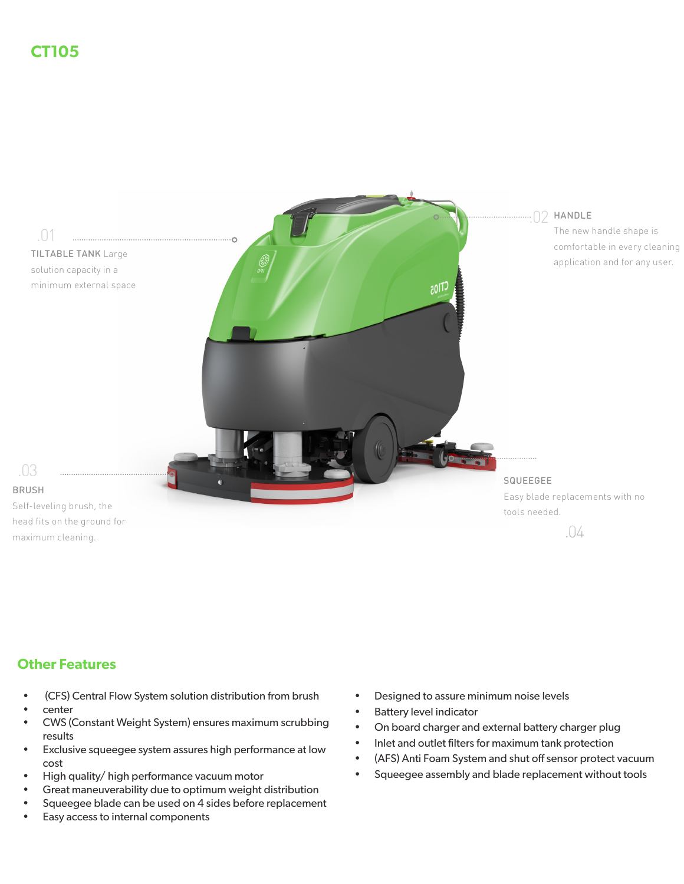

# **Other Features**

- (CFS) Central Flow System solution distribution from brush
- center
- CWS (Constant Weight System) ensures maximum scrubbing results
- Exclusive squeegee system assures high performance at low cost
- High quality/ high performance vacuum motor
- Great maneuverability due to optimum weight distribution
- Squeegee blade can be used on 4 sides before replacement
- Easy access to internal components
- Designed to assure minimum noise levels
- Battery level indicator
- On board charger and external battery charger plug
- Inlet and outlet filters for maximum tank protection
- (AFS) Anti Foam System and shut off sensor protect vacuum
- Squeegee assembly and blade replacement without tools